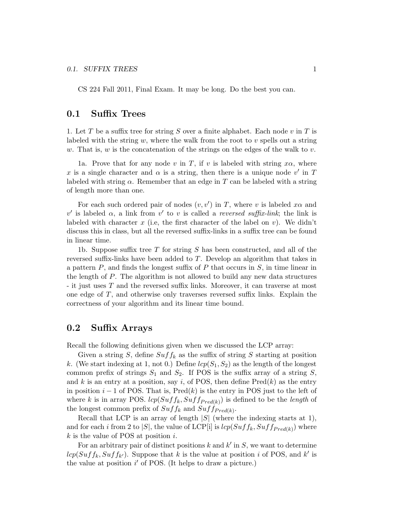CS 224 Fall 2011, Final Exam. It may be long. Do the best you can.

### 0.1 Suffix Trees

1. Let T be a suffix tree for string S over a finite alphabet. Each node v in T is labeled with the string  $w$ , where the walk from the root to  $v$  spells out a string w. That is, w is the concatenation of the strings on the edges of the walk to v.

1a. Prove that for any node v in T, if v is labeled with string  $x\alpha$ , where x is a single character and  $\alpha$  is a string, then there is a unique node v' in T labeled with string  $\alpha$ . Remember that an edge in T can be labeled with a string of length more than one.

For each such ordered pair of nodes  $(v, v')$  in T, where v is labeled  $x\alpha$  and  $v'$  is labeled α, a link from v' to v is called a reversed suffix-link; the link is labeled with character x (i.e, the first character of the label on v). We didn't discuss this in class, but all the reversed suffix-links in a suffix tree can be found in linear time.

1b. Suppose suffix tree T for string S has been constructed, and all of the reversed suffix-links have been added to T. Develop an algorithm that takes in a pattern  $P$ , and finds the longest suffix of  $P$  that occurs in  $S$ , in time linear in the length of P. The algorithm is not allowed to build any new data structures - it just uses T and the reversed suffix links. Moreover, it can traverse at most one edge of  $T$ , and otherwise only traverses reversed suffix links. Explain the correctness of your algorithm and its linear time bound.

# 0.2 Suffix Arrays

Recall the following definitions given when we discussed the LCP array:

Given a string S, define  $Suff_k$  as the suffix of string S starting at position k. (We start indexing at 1, not 0.) Define  $lcp(S_1, S_2)$  as the length of the longest common prefix of strings  $S_1$  and  $S_2$ . If POS is the suffix array of a string S, and k is an entry at a position, say i, of POS, then define  $Pred(k)$  as the entry in position  $i - 1$  of POS. That is, Pred $(k)$  is the entry in POS just to the left of where k is in array POS.  $lcp(Suff_k, Suff_{Pred(k)})$  is defined to be the *length* of the longest common prefix of  $Suff_k$  and  $Suff_{Pred(k)}$ .

Recall that LCP is an array of length  $|S|$  (where the indexing starts at 1), and for each i from 2 to |S|, the value of LCP[i] is  $lcp(Suff_k, Suff_{Pred(k)})$  where  $k$  is the value of POS at position  $i$ .

For an arbitrary pair of distinct positions  $k$  and  $k'$  in  $S$ , we want to determine  $lcp(Suff_{k}, Suff_{k'})$ . Suppose that k is the value at position i of POS, and k' is the value at position  $i'$  of POS. (It helps to draw a picture.)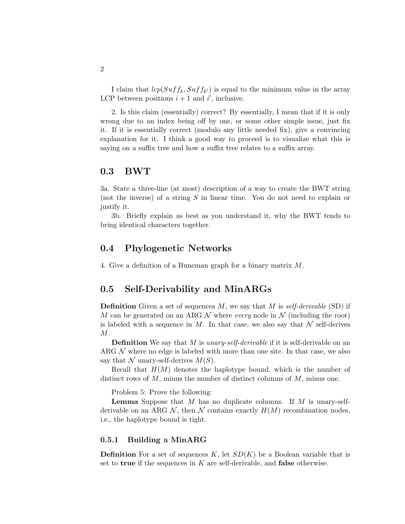I claim that  $lcp(Suff_{k}, Suff_{k'})$  is equal to the minimum value in the array LCP between positions  $i + 1$  and  $i'$ , inclusive.

2. Is this claim (essentially) correct? By essentially, I mean that if it is only wrong due to an index being off by one, or some other simple issue, just fix it. If it is essentially correct (modulo any little needed fix), give a convincing explanation for it. I think a good way to proceed is to visualize what this is saying on a suffix tree and how a suffix tree relates to a suffix array.

#### 0.3 BWT

3a. State a three-line (at most) description of a way to create the BWT string (not the inverse) of a string S in linear time. You do not need to explain or justify it.

3b. Briefly explain as best as you understand it, why the BWT tends to bring identical characters together.

### 0.4 Phylogenetic Networks

4. Give a definition of a Buneman graph for a binary matrix M.

# 0.5 Self-Derivability and MinARGs

**Definition** Given a set of sequences M, we say that M is self-derivable (SD) if M can be generated on an ARG N where every node in N (including the root) is labeled with a sequence in M. In that case, we also say that  $\mathcal N$  self-derives M.

**Definition** We say that M is unary-self-derivable if it is self-derivable on an ARG  $N$  where no edge is labeled with more than one site. In that case, we also say that N unary-self-derives  $M(S)$ .

Recall that  $H(M)$  denotes the haplotype bound, which is the number of distinct rows of  $M$ , minus the number of distinct columns of  $M$ , minus one.

Problem 5: Prove the following:

**Lemma** Suppose that M has no duplicate columns. If M is unary-selfderivable on an ARG N, then N contains exactly  $H(M)$  recombination nodes, i.e., the haplotype bound is tight.

#### 0.5.1 Building a MinARG

**Definition** For a set of sequences K, let  $SD(K)$  be a Boolean variable that is set to **true** if the sequences in  $K$  are self-derivable, and **false** otherwise.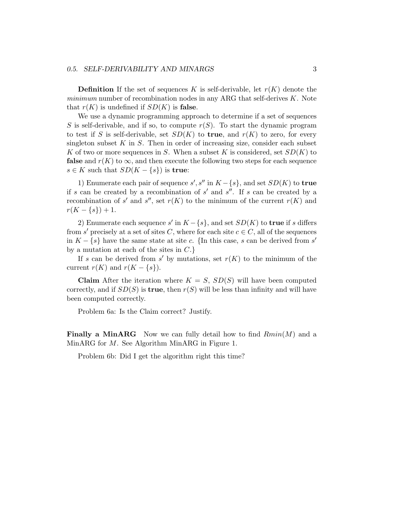#### 0.5. SELF-DERIVABILITY AND MINARGS 3

**Definition** If the set of sequences K is self-derivable, let  $r(K)$  denote the minimum number of recombination nodes in any ARG that self-derives  $K$ . Note that  $r(K)$  is undefined if  $SD(K)$  is false.

We use a dynamic programming approach to determine if a set of sequences S is self-derivable, and if so, to compute  $r(S)$ . To start the dynamic program to test if S is self-derivable, set  $SD(K)$  to true, and  $r(K)$  to zero, for every singleton subset  $K$  in  $S$ . Then in order of increasing size, consider each subset K of two or more sequences in S. When a subset K is considered, set  $SD(K)$  to **false** and  $r(K)$  to  $\infty$ , and then execute the following two steps for each sequence  $s \in K$  such that  $SD(K - \{s\})$  is true:

1) Enumerate each pair of sequence  $s', s''$  in  $K - \{s\}$ , and set  $SD(K)$  to true if s can be created by a recombination of  $s'$  and  $s''$ . If s can be created by a recombination of s' and s'', set  $r(K)$  to the minimum of the current  $r(K)$  and  $r(K - \{s\}) + 1.$ 

2) Enumerate each sequence s' in  $K - \{s\}$ , and set  $SD(K)$  to **true** if s differs from s' precisely at a set of sites C, where for each site  $c \in C$ , all of the sequences in  $K - \{s\}$  have the same state at site c. {In this case, s can be derived from s' by a mutation at each of the sites in  $C.\}$ 

If s can be derived from s' by mutations, set  $r(K)$  to the minimum of the current  $r(K)$  and  $r(K - \{s\})$ .

**Claim** After the iteration where  $K = S$ ,  $SD(S)$  will have been computed correctly, and if  $SD(S)$  is **true**, then  $r(S)$  will be less than infinity and will have been computed correctly.

Problem 6a: Is the Claim correct? Justify.

**Finally a MinARG** Now we can fully detail how to find  $Rmin(M)$  and a MinARG for M. See Algorithm MinARG in Figure 1.

Problem 6b: Did I get the algorithm right this time?